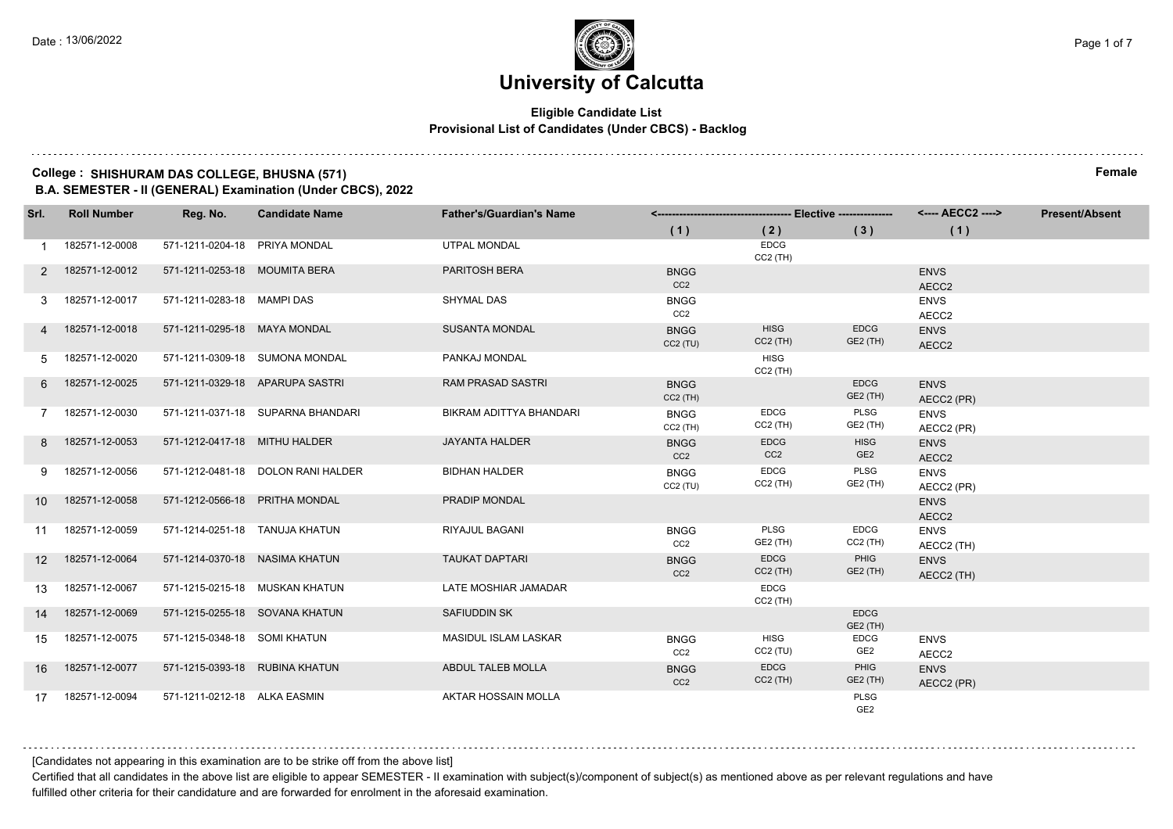## **Eligible Candidate List Provisional List of Candidates (Under CBCS) - Backlog**

## **College : SHISHURAM DAS COLLEGE, BHUSNA (571) Female**

**B.A. SEMESTER - II (GENERAL) Examination (Under CBCS), 2022**

| Srl.              | <b>Roll Number</b> | Reg. No.                       | <b>Candidate Name</b>              | <b>Father's/Guardian's Name</b> |                                |                                |                                | <b>Present/Absent</b>     |  |
|-------------------|--------------------|--------------------------------|------------------------------------|---------------------------------|--------------------------------|--------------------------------|--------------------------------|---------------------------|--|
|                   |                    |                                |                                    |                                 | (1)                            | (2)                            | (3)                            | (1)                       |  |
|                   | 182571-12-0008     | 571-1211-0204-18 PRIYA MONDAL  |                                    | <b>UTPAL MONDAL</b>             |                                | <b>EDCG</b><br>$CC2$ (TH)      |                                |                           |  |
| 2                 | 182571-12-0012     | 571-1211-0253-18 MOUMITA BERA  |                                    | PARITOSH BERA                   | <b>BNGG</b><br>CC <sub>2</sub> |                                |                                | <b>ENVS</b><br>AECC2      |  |
| 3                 | 182571-12-0017     | 571-1211-0283-18 MAMPI DAS     |                                    | <b>SHYMAL DAS</b>               | <b>BNGG</b><br>CC2             |                                |                                | <b>ENVS</b><br>AECC2      |  |
| 4                 | 182571-12-0018     | 571-1211-0295-18 MAYA MONDAL   |                                    | <b>SUSANTA MONDAL</b>           | <b>BNGG</b><br>CC2(TU)         | <b>HISG</b><br>$CC2$ (TH)      | <b>EDCG</b><br>GE2 (TH)        | <b>ENVS</b><br>AECC2      |  |
| 5                 | 182571-12-0020     |                                | 571-1211-0309-18 SUMONA MONDAL     | PANKAJ MONDAL                   |                                | HISG<br>$CC2$ (TH)             |                                |                           |  |
| 6                 | 182571-12-0025     |                                | 571-1211-0329-18 APARUPA SASTRI    | <b>RAM PRASAD SASTRI</b>        | <b>BNGG</b><br>$CC2$ (TH)      |                                | <b>EDCG</b><br><b>GE2 (TH)</b> | <b>ENVS</b><br>AECC2 (PR) |  |
|                   | 182571-12-0030     |                                | 571-1211-0371-18 SUPARNA BHANDARI  | BIKRAM ADITTYA BHANDARI         | <b>BNGG</b><br>$CC2$ (TH)      | <b>EDCG</b><br>$CC2$ (TH)      | PLSG<br><b>GE2 (TH)</b>        | <b>ENVS</b><br>AECC2 (PR) |  |
| 8                 | 182571-12-0053     | 571-1212-0417-18 MITHU HALDER  |                                    | <b>JAYANTA HALDER</b>           | <b>BNGG</b><br>CC <sub>2</sub> | <b>EDCG</b><br>CC <sub>2</sub> | <b>HISG</b><br>GE <sub>2</sub> | <b>ENVS</b><br>AECC2      |  |
| 9.                | 182571-12-0056     |                                | 571-1212-0481-18 DOLON RANI HALDER | <b>BIDHAN HALDER</b>            | <b>BNGG</b><br>CC2(TU)         | <b>EDCG</b><br>$CC2$ (TH)      | PLSG<br><b>GE2 (TH)</b>        | <b>ENVS</b><br>AECC2 (PR) |  |
| 10 <sup>°</sup>   | 182571-12-0058     |                                | 571-1212-0566-18 PRITHA MONDAL     | PRADIP MONDAL                   |                                |                                |                                | <b>ENVS</b><br>AECC2      |  |
| 11                | 182571-12-0059     |                                | 571-1214-0251-18 TANUJA KHATUN     | RIYAJUL BAGANI                  | <b>BNGG</b><br>CC2             | PLSG<br>GE2 (TH)               | <b>EDCG</b><br>$CC2$ (TH)      | <b>ENVS</b><br>AECC2 (TH) |  |
| $12 \overline{ }$ | 182571-12-0064     | 571-1214-0370-18 NASIMA KHATUN |                                    | <b>TAUKAT DAPTARI</b>           | <b>BNGG</b><br>CC <sub>2</sub> | <b>EDCG</b><br>$CC2$ (TH)      | PHIG<br>GE2 (TH)               | <b>ENVS</b><br>AECC2 (TH) |  |
| 13                | 182571-12-0067     |                                | 571-1215-0215-18 MUSKAN KHATUN     | LATE MOSHIAR JAMADAR            |                                | EDCG<br>$CC2$ (TH)             |                                |                           |  |
| 14                | 182571-12-0069     |                                | 571-1215-0255-18 SOVANA KHATUN     | SAFIUDDIN SK                    |                                |                                | <b>EDCG</b><br>GE2 (TH)        |                           |  |
| 15                | 182571-12-0075     | 571-1215-0348-18 SOMI KHATUN   |                                    | <b>MASIDUL ISLAM LASKAR</b>     | <b>BNGG</b><br>CC <sub>2</sub> | <b>HISG</b><br>$CC2$ (TU)      | EDCG<br>GE2                    | <b>ENVS</b><br>AECC2      |  |
| 16                | 182571-12-0077     | 571-1215-0393-18 RUBINA KHATUN |                                    | ABDUL TALEB MOLLA               | <b>BNGG</b><br>CC2             | <b>EDCG</b><br>$CC2$ (TH)      | PHIG<br><b>GE2 (TH)</b>        | <b>ENVS</b><br>AECC2 (PR) |  |
| 17                | 182571-12-0094     | 571-1211-0212-18 ALKA EASMIN   |                                    | AKTAR HOSSAIN MOLLA             |                                |                                | PLSG<br>GE <sub>2</sub>        |                           |  |

[Candidates not appearing in this examination are to be strike off from the above list]

Certified that all candidates in the above list are eligible to appear SEMESTER - II examination with subject(s)/component of subject(s) as mentioned above as per relevant regulations and have fulfilled other criteria for their candidature and are forwarded for enrolment in the aforesaid examination.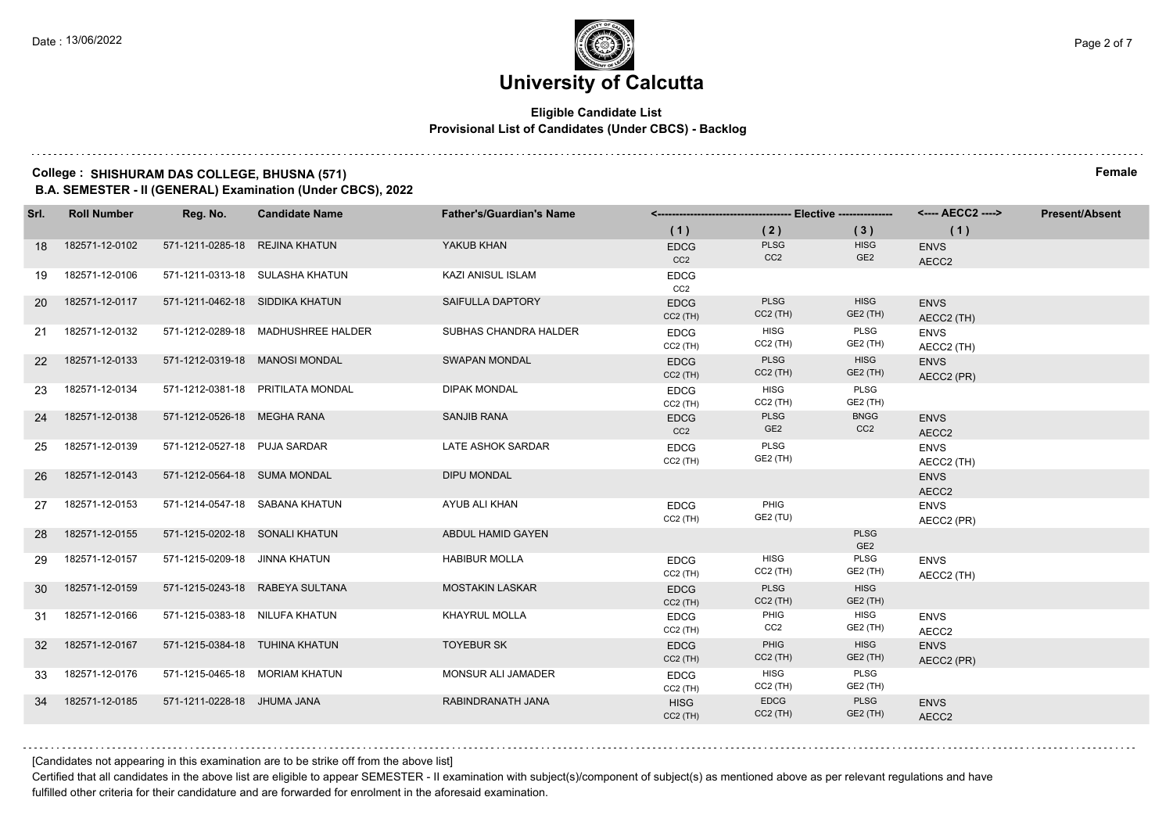## **Eligible Candidate List Provisional List of Candidates (Under CBCS) - Backlog**

## **College : SHISHURAM DAS COLLEGE, BHUSNA (571) Female B.A. SEMESTER - II (GENERAL) Examination (Under CBCS), 2022**

| Srl.      | <b>Roll Number</b> | Reg. No.                        | <b>Candidate Name</b>              | <b>Father's/Guardian's Name</b> |                                |                                |                                | <---- AECC2 ---->         | <b>Present/Absent</b> |
|-----------|--------------------|---------------------------------|------------------------------------|---------------------------------|--------------------------------|--------------------------------|--------------------------------|---------------------------|-----------------------|
|           |                    |                                 |                                    |                                 | (1)                            | (2)                            | (3)                            | (1)                       |                       |
| 18        | 182571-12-0102     | 571-1211-0285-18 REJINA KHATUN  |                                    | YAKUB KHAN                      | <b>EDCG</b><br>CC <sub>2</sub> | PLSG<br>CC <sub>2</sub>        | <b>HISG</b><br>GE <sub>2</sub> | <b>ENVS</b><br>AECC2      |                       |
| 19        | 182571-12-0106     |                                 | 571-1211-0313-18 SULASHA KHATUN    | KAZI ANISUL ISLAM               | <b>EDCG</b><br>CC <sub>2</sub> |                                |                                |                           |                       |
| <b>20</b> | 182571-12-0117     | 571-1211-0462-18 SIDDIKA KHATUN |                                    | SAIFULLA DAPTORY                | <b>EDCG</b><br>$CC2$ (TH)      | <b>PLSG</b><br>$CC2$ (TH)      | <b>HISG</b><br><b>GE2 (TH)</b> | <b>ENVS</b><br>AECC2 (TH) |                       |
| 21        | 182571-12-0132     |                                 | 571-1212-0289-18 MADHUSHREE HALDER | SUBHAS CHANDRA HALDER           | <b>EDCG</b><br>$CC2$ (TH)      | <b>HISG</b><br>CC2 (TH)        | PLSG<br>GE2 (TH)               | <b>ENVS</b><br>AECC2 (TH) |                       |
| 22        | 182571-12-0133     |                                 | 571-1212-0319-18 MANOSI MONDAL     | <b>SWAPAN MONDAL</b>            | <b>EDCG</b><br>$CC2$ (TH)      | <b>PLSG</b><br>$CC2$ (TH)      | <b>HISG</b><br><b>GE2 (TH)</b> | <b>ENVS</b><br>AECC2 (PR) |                       |
| 23        | 182571-12-0134     |                                 | 571-1212-0381-18 PRITILATA MONDAL  | <b>DIPAK MONDAL</b>             | <b>EDCG</b><br>$CC2$ (TH)      | <b>HISG</b><br>$CC2$ (TH)      | <b>PLSG</b><br>GE2 (TH)        |                           |                       |
| 24        | 182571-12-0138     | 571-1212-0526-18 MEGHA RANA     |                                    | <b>SANJIB RANA</b>              | <b>EDCG</b><br>CC <sub>2</sub> | <b>PLSG</b><br>GE <sub>2</sub> | <b>BNGG</b><br>CC <sub>2</sub> | <b>ENVS</b><br>AECC2      |                       |
| 25        | 182571-12-0139     | 571-1212-0527-18 PUJA SARDAR    |                                    | LATE ASHOK SARDAR               | <b>EDCG</b><br>$CC2$ (TH)      | PLSG<br>GE2 (TH)               |                                | <b>ENVS</b><br>AECC2 (TH) |                       |
| 26        | 182571-12-0143     | 571-1212-0564-18 SUMA MONDAL    |                                    | <b>DIPU MONDAL</b>              |                                |                                |                                | <b>ENVS</b><br>AECC2      |                       |
| 27        | 182571-12-0153     |                                 | 571-1214-0547-18 SABANA KHATUN     | AYUB ALI KHAN                   | <b>EDCG</b><br>$CC2$ (TH)      | PHIG<br>GE2 (TU)               |                                | <b>ENVS</b><br>AECC2 (PR) |                       |
| 28        | 182571-12-0155     | 571-1215-0202-18 SONALI KHATUN  |                                    | ABDUL HAMID GAYEN               |                                |                                | <b>PLSG</b><br>GE <sub>2</sub> |                           |                       |
| 29        | 182571-12-0157     | 571-1215-0209-18 JINNA KHATUN   |                                    | <b>HABIBUR MOLLA</b>            | <b>EDCG</b><br>$CC2$ (TH)      | <b>HISG</b><br>$CC2$ (TH)      | <b>PLSG</b><br>GE2 (TH)        | <b>ENVS</b><br>AECC2 (TH) |                       |
| 30        | 182571-12-0159     |                                 | 571-1215-0243-18 RABEYA SULTANA    | <b>MOSTAKIN LASKAR</b>          | <b>EDCG</b><br>$CC2$ (TH)      | <b>PLSG</b><br>$CC2$ (TH)      | <b>HISG</b><br>GE2 (TH)        |                           |                       |
| 31        | 182571-12-0166     | 571-1215-0383-18 NILUFA KHATUN  |                                    | <b>KHAYRUL MOLLA</b>            | <b>EDCG</b><br>$CC2$ (TH)      | PHIG<br>CC <sub>2</sub>        | <b>HISG</b><br>GE2 (TH)        | <b>ENVS</b><br>AECC2      |                       |
| 32        | 182571-12-0167     | 571-1215-0384-18 TUHINA KHATUN  |                                    | <b>TOYEBUR SK</b>               | <b>EDCG</b><br>$CC2$ (TH)      | PHIG<br>$CC2$ (TH)             | <b>HISG</b><br><b>GE2 (TH)</b> | <b>ENVS</b><br>AECC2 (PR) |                       |
| 33        | 182571-12-0176     |                                 | 571-1215-0465-18 MORIAM KHATUN     | MONSUR ALI JAMADER              | <b>EDCG</b><br>$CC2$ (TH)      | <b>HISG</b><br>$CC2$ (TH)      | PLSG<br>GE2 (TH)               |                           |                       |
| 34        | 182571-12-0185     | 571-1211-0228-18 JHUMA JANA     |                                    | RABINDRANATH JANA               | <b>HISG</b><br>$CC2$ (TH)      | <b>EDCG</b><br>$CC2$ (TH)      | PLSG<br><b>GE2 (TH)</b>        | <b>ENVS</b><br>AECC2      |                       |
|           |                    |                                 |                                    |                                 |                                |                                |                                |                           |                       |

[Candidates not appearing in this examination are to be strike off from the above list]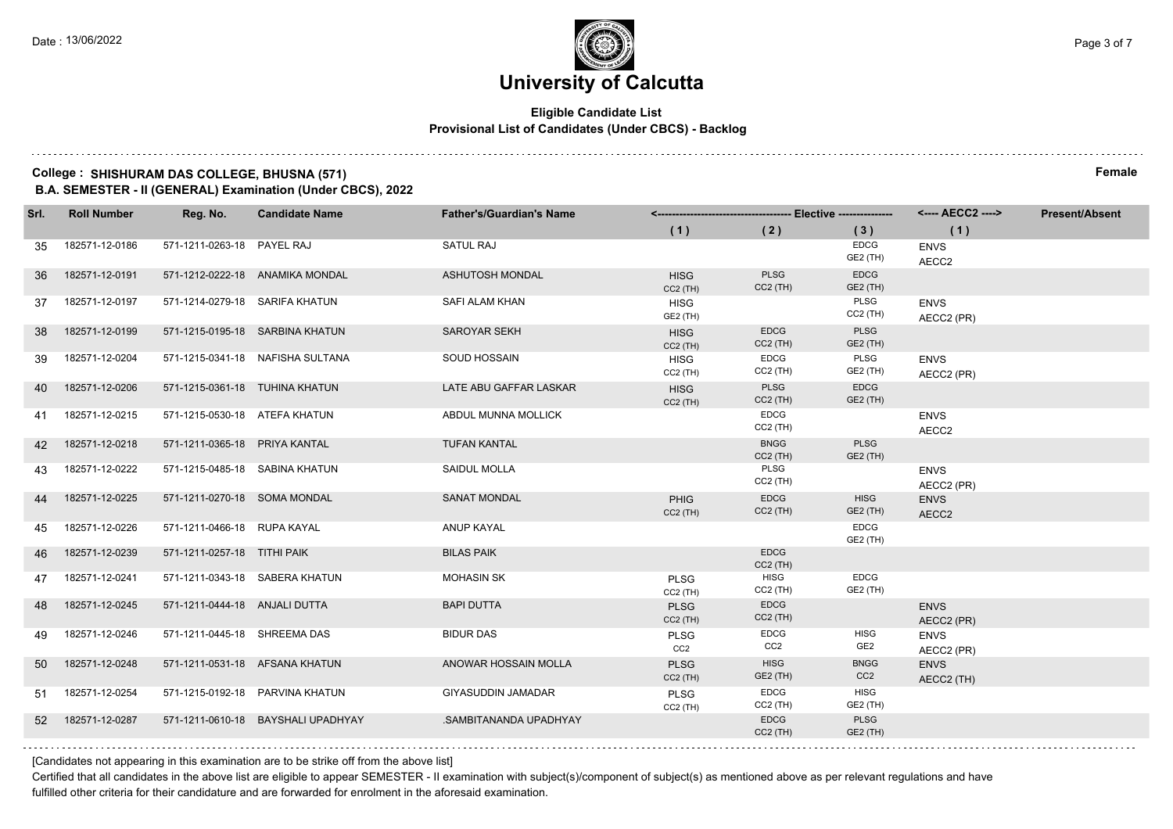## **Eligible Candidate List Provisional List of Candidates (Under CBCS) - Backlog**

## **College : SHISHURAM DAS COLLEGE, BHUSNA (571) Female**

**B.A. SEMESTER - II (GENERAL) Examination (Under CBCS), 2022**

| Srl. | <b>Roll Number</b> | Reg. No.                       | <b>Candidate Name</b>              | <b>Father's/Guardian's Name</b> |                                |                           | <---- AECC2 ---->              | <b>Present/Absent</b>     |  |
|------|--------------------|--------------------------------|------------------------------------|---------------------------------|--------------------------------|---------------------------|--------------------------------|---------------------------|--|
|      |                    |                                |                                    |                                 | (1)                            | (2)                       | (3)                            | (1)                       |  |
| 35   | 182571-12-0186     | 571-1211-0263-18 PAYEL RAJ     |                                    | <b>SATUL RAJ</b>                |                                |                           | EDCG<br><b>GE2 (TH)</b>        | <b>ENVS</b><br>AECC2      |  |
| 36   | 182571-12-0191     |                                | 571-1212-0222-18 ANAMIKA MONDAL    | <b>ASHUTOSH MONDAL</b>          | <b>HISG</b><br>$CC2$ (TH)      | <b>PLSG</b><br>$CC2$ (TH) | <b>EDCG</b><br>GE2 (TH)        |                           |  |
| 37   | 182571-12-0197     | 571-1214-0279-18 SARIFA KHATUN |                                    | SAFI ALAM KHAN                  | <b>HISG</b><br>GE2 (TH)        |                           | PLSG<br>$CC2$ (TH)             | <b>ENVS</b><br>AECC2 (PR) |  |
| 38   | 182571-12-0199     |                                | 571-1215-0195-18 SARBINA KHATUN    | SAROYAR SEKH                    | <b>HISG</b><br>$CC2$ (TH)      | <b>EDCG</b><br>$CC2$ (TH) | PLSG<br>GE2 (TH)               |                           |  |
| 39   | 182571-12-0204     |                                | 571-1215-0341-18 NAFISHA SULTANA   | SOUD HOSSAIN                    | <b>HISG</b><br>$CC2$ (TH)      | EDCG<br>$CC2$ (TH)        | PLSG<br><b>GE2 (TH)</b>        | <b>ENVS</b><br>AECC2 (PR) |  |
| 40   | 182571-12-0206     |                                | 571-1215-0361-18 TUHINA KHATUN     | LATE ABU GAFFAR LASKAR          | <b>HISG</b><br>$CC2$ (TH)      | PLSG<br>$CC2$ (TH)        | <b>EDCG</b><br>GE2 (TH)        |                           |  |
| 41   | 182571-12-0215     | 571-1215-0530-18 ATEFA KHATUN  |                                    | ABDUL MUNNA MOLLICK             |                                | EDCG<br>$CC2$ (TH)        |                                | <b>ENVS</b><br>AECC2      |  |
| 42   | 182571-12-0218     | 571-1211-0365-18 PRIYA KANTAL  |                                    | <b>TUFAN KANTAL</b>             |                                | <b>BNGG</b><br>$CC2$ (TH) | <b>PLSG</b><br>GE2 (TH)        |                           |  |
| 43   | 182571-12-0222     | 571-1215-0485-18 SABINA KHATUN |                                    | <b>SAIDUL MOLLA</b>             |                                | PLSG<br>$CC2$ (TH)        |                                | <b>ENVS</b><br>AECC2 (PR) |  |
| 44   | 182571-12-0225     | 571-1211-0270-18 SOMA MONDAL   |                                    | <b>SANAT MONDAL</b>             | <b>PHIG</b><br>$CC2$ (TH)      | <b>EDCG</b><br>$CC2$ (TH) | <b>HISG</b><br><b>GE2 (TH)</b> | <b>ENVS</b><br>AECC2      |  |
| 45   | 182571-12-0226     | 571-1211-0466-18 RUPA KAYAL    |                                    | <b>ANUP KAYAL</b>               |                                |                           | <b>EDCG</b><br><b>GE2 (TH)</b> |                           |  |
| 46   | 182571-12-0239     | 571-1211-0257-18 TITHI PAIK    |                                    | <b>BILAS PAIK</b>               |                                | <b>EDCG</b><br>$CC2$ (TH) |                                |                           |  |
| 47   | 182571-12-0241     |                                | 571-1211-0343-18 SABERA KHATUN     | <b>MOHASIN SK</b>               | <b>PLSG</b><br>$CC2$ (TH)      | <b>HISG</b><br>CC2 (TH)   | <b>EDCG</b><br><b>GE2 (TH)</b> |                           |  |
| 48   | 182571-12-0245     | 571-1211-0444-18 ANJALI DUTTA  |                                    | <b>BAPI DUTTA</b>               | <b>PLSG</b><br>$CC2$ (TH)      | <b>EDCG</b><br>$CC2$ (TH) |                                | <b>ENVS</b><br>AECC2 (PR) |  |
| 49   | 182571-12-0246     | 571-1211-0445-18 SHREEMA DAS   |                                    | <b>BIDUR DAS</b>                | <b>PLSG</b><br>CC <sub>2</sub> | EDCG<br>CC2               | <b>HISG</b><br>GE <sub>2</sub> | <b>ENVS</b><br>AECC2 (PR) |  |
| 50   | 182571-12-0248     |                                | 571-1211-0531-18 AFSANA KHATUN     | ANOWAR HOSSAIN MOLLA            | <b>PLSG</b><br>$CC2$ (TH)      | <b>HISG</b><br>GE2 (TH)   | <b>BNGG</b><br>CC <sub>2</sub> | <b>ENVS</b><br>AECC2 (TH) |  |
| -51  | 182571-12-0254     |                                | 571-1215-0192-18 PARVINA KHATUN    | <b>GIYASUDDIN JAMADAR</b>       | <b>PLSG</b><br>$CC2$ (TH)      | EDCG<br>$CC2$ (TH)        | <b>HISG</b><br><b>GE2 (TH)</b> |                           |  |
| 52   | 182571-12-0287     |                                | 571-1211-0610-18 BAYSHALI UPADHYAY | .SAMBITANANDA UPADHYAY          |                                | <b>EDCG</b><br>$CC2$ (TH) | PLSG<br>GE2 (TH)               |                           |  |
|      |                    |                                |                                    |                                 |                                |                           |                                |                           |  |

[Candidates not appearing in this examination are to be strike off from the above list]

Certified that all candidates in the above list are eligible to appear SEMESTER - II examination with subject(s)/component of subject(s) as mentioned above as per relevant regulations and have fulfilled other criteria for their candidature and are forwarded for enrolment in the aforesaid examination.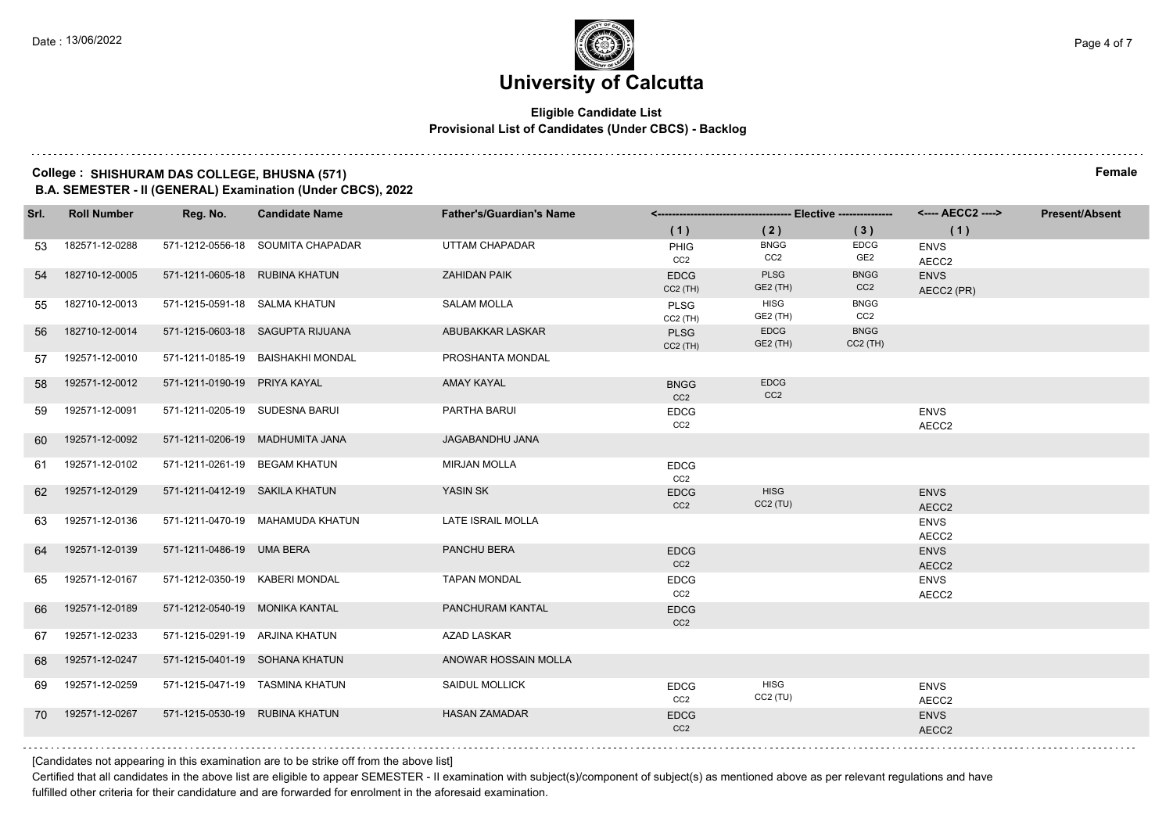## **Eligible Candidate List Provisional List of Candidates (Under CBCS) - Backlog**

## **College : SHISHURAM DAS COLLEGE, BHUSNA (571) Female**

**B.A. SEMESTER - II (GENERAL) Examination (Under CBCS), 2022**

| Srl. | <b>Roll Number</b> | Reg. No.                       | <b>Candidate Name</b>             | <b>Father's/Guardian's Name</b> |                                |                                | <---- AECC2 ---->              | <b>Present/Absent</b>     |  |
|------|--------------------|--------------------------------|-----------------------------------|---------------------------------|--------------------------------|--------------------------------|--------------------------------|---------------------------|--|
|      |                    |                                |                                   |                                 | (1)                            | (2)                            | (3)                            | (1)                       |  |
| 53   | 182571-12-0288     |                                | 571-1212-0556-18 SOUMITA CHAPADAR | UTTAM CHAPADAR                  | PHIG<br>CC <sub>2</sub>        | <b>BNGG</b><br>CC <sub>2</sub> | <b>EDCG</b><br>GE <sub>2</sub> | <b>ENVS</b><br>AECC2      |  |
| 54   | 182710-12-0005     | 571-1211-0605-18 RUBINA KHATUN |                                   | <b>ZAHIDAN PAIK</b>             | <b>EDCG</b><br>$CC2$ (TH)      | <b>PLSG</b><br>GE2 (TH)        | <b>BNGG</b><br>CC <sub>2</sub> | <b>ENVS</b><br>AECC2 (PR) |  |
| 55   | 182710-12-0013     | 571-1215-0591-18 SALMA KHATUN  |                                   | <b>SALAM MOLLA</b>              | <b>PLSG</b><br>$CC2$ (TH)      | <b>HISG</b><br>GE2 (TH)        | <b>BNGG</b><br>CC <sub>2</sub> |                           |  |
| 56   | 182710-12-0014     |                                | 571-1215-0603-18 SAGUPTA RIJUANA  | ABUBAKKAR LASKAR                | <b>PLSG</b><br>$CC2$ (TH)      | <b>EDCG</b><br>GE2 (TH)        | <b>BNGG</b><br>$CC2$ (TH)      |                           |  |
| 57   | 192571-12-0010     |                                | 571-1211-0185-19 BAISHAKHI MONDAL | PROSHANTA MONDAL                |                                |                                |                                |                           |  |
| 58   | 192571-12-0012     | 571-1211-0190-19 PRIYA KAYAL   |                                   | <b>AMAY KAYAL</b>               | <b>BNGG</b><br>CC2             | <b>EDCG</b><br>CC <sub>2</sub> |                                |                           |  |
| 59   | 192571-12-0091     | 571-1211-0205-19 SUDESNA BARUI |                                   | PARTHA BARUI                    | <b>EDCG</b><br>CC <sub>2</sub> |                                |                                | <b>ENVS</b><br>AECC2      |  |
| 60   | 192571-12-0092     |                                | 571-1211-0206-19 MADHUMITA JANA   | JAGABANDHU JANA                 |                                |                                |                                |                           |  |
| 61   | 192571-12-0102     | 571-1211-0261-19 BEGAM KHATUN  |                                   | <b>MIRJAN MOLLA</b>             | <b>EDCG</b><br>CC <sub>2</sub> |                                |                                |                           |  |
| 62   | 192571-12-0129     | 571-1211-0412-19 SAKILA KHATUN |                                   | YASIN SK                        | <b>EDCG</b><br>CC <sub>2</sub> | <b>HISG</b><br>$CC2$ (TU)      |                                | <b>ENVS</b><br>AECC2      |  |
| 63   | 192571-12-0136     |                                | 571-1211-0470-19 MAHAMUDA KHATUN  | <b>LATE ISRAIL MOLLA</b>        |                                |                                |                                | <b>ENVS</b><br>AECC2      |  |
| 64   | 192571-12-0139     | 571-1211-0486-19 UMA BERA      |                                   | PANCHU BERA                     | <b>EDCG</b><br>CC <sub>2</sub> |                                |                                | <b>ENVS</b><br>AECC2      |  |
| 65   | 192571-12-0167     | 571-1212-0350-19 KABERI MONDAL |                                   | <b>TAPAN MONDAL</b>             | <b>EDCG</b><br>CC2             |                                |                                | <b>ENVS</b><br>AECC2      |  |
| 66   | 192571-12-0189     | 571-1212-0540-19 MONIKA KANTAL |                                   | PANCHURAM KANTAL                | <b>EDCG</b><br>CC <sub>2</sub> |                                |                                |                           |  |
| 67   | 192571-12-0233     | 571-1215-0291-19 ARJINA KHATUN |                                   | <b>AZAD LASKAR</b>              |                                |                                |                                |                           |  |
| 68   | 192571-12-0247     |                                | 571-1215-0401-19 SOHANA KHATUN    | ANOWAR HOSSAIN MOLLA            |                                |                                |                                |                           |  |
| 69   | 192571-12-0259     |                                | 571-1215-0471-19 TASMINA KHATUN   | <b>SAIDUL MOLLICK</b>           | <b>EDCG</b><br>CC <sub>2</sub> | <b>HISG</b><br>$CC2$ (TU)      |                                | <b>ENVS</b><br>AECC2      |  |
| 70   | 192571-12-0267     | 571-1215-0530-19 RUBINA KHATUN |                                   | <b>HASAN ZAMADAR</b>            | <b>EDCG</b><br>CC <sub>2</sub> |                                |                                | <b>ENVS</b><br>AECC2      |  |
|      |                    |                                |                                   |                                 |                                |                                |                                |                           |  |

[Candidates not appearing in this examination are to be strike off from the above list]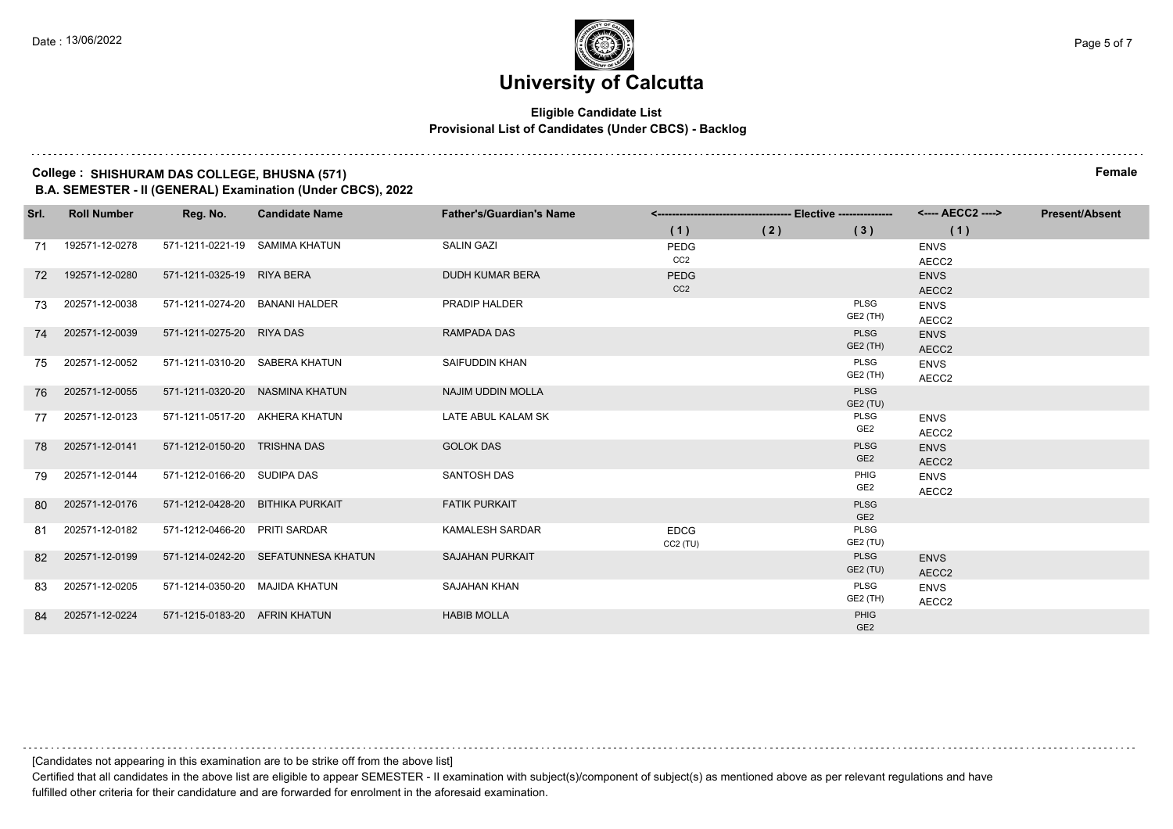## **Eligible Candidate List Provisional List of Candidates (Under CBCS) - Backlog**

### **College : SHISHURAM DAS COLLEGE, BHUSNA (571) Female B.A. SEMESTER - II (GENERAL) Examination (Under CBCS), 2022**

| Srl. | <b>Roll Number</b> | Reg. No.                         | <b>Candidate Name</b>               | <b>Father's/Guardian's Name</b> |                 |     |                         | <---- AECC2 ---->    | <b>Present/Absent</b> |
|------|--------------------|----------------------------------|-------------------------------------|---------------------------------|-----------------|-----|-------------------------|----------------------|-----------------------|
|      |                    |                                  |                                     |                                 | (1)             | (2) | (3)                     | (1)                  |                       |
| 71   | 192571-12-0278     | 571-1211-0221-19 SAMIMA KHATUN   |                                     | <b>SALIN GAZI</b>               | PEDG            |     |                         | <b>ENVS</b>          |                       |
|      |                    |                                  |                                     |                                 | CC2             |     |                         | AECC2                |                       |
| 72   | 192571-12-0280     | 571-1211-0325-19 RIYA BERA       |                                     | DUDH KUMAR BERA                 | <b>PEDG</b>     |     |                         | <b>ENVS</b>          |                       |
|      |                    |                                  |                                     |                                 | CC <sub>2</sub> |     |                         | AECC2                |                       |
| 73   | 202571-12-0038     | 571-1211-0274-20 BANANI HALDER   |                                     | PRADIP HALDER                   |                 |     | <b>PLSG</b><br>GE2 (TH) | <b>ENVS</b>          |                       |
|      |                    |                                  |                                     |                                 |                 |     |                         | AECC2                |                       |
| 74   | 202571-12-0039     | 571-1211-0275-20 RIYA DAS        |                                     | RAMPADA DAS                     |                 |     | <b>PLSG</b><br>GE2 (TH) | <b>ENVS</b>          |                       |
| 75   | 202571-12-0052     | 571-1211-0310-20 SABERA KHATUN   |                                     | SAIFUDDIN KHAN                  |                 |     | PLSG                    | AECC2                |                       |
|      |                    |                                  |                                     |                                 |                 |     | GE2 (TH)                | <b>ENVS</b><br>AECC2 |                       |
| 76   | 202571-12-0055     |                                  | 571-1211-0320-20 NASMINA KHATUN     | <b>NAJIM UDDIN MOLLA</b>        |                 |     | <b>PLSG</b>             |                      |                       |
|      |                    |                                  |                                     |                                 |                 |     | GE2 (TU)                |                      |                       |
| 77   | 202571-12-0123     | 571-1211-0517-20 AKHERA KHATUN   |                                     | LATE ABUL KALAM SK              |                 |     | <b>PLSG</b>             | <b>ENVS</b>          |                       |
|      |                    |                                  |                                     |                                 |                 |     | GE <sub>2</sub>         | AECC2                |                       |
| 78   | 202571-12-0141     | 571-1212-0150-20 TRISHNA DAS     |                                     | <b>GOLOK DAS</b>                |                 |     | <b>PLSG</b>             | <b>ENVS</b>          |                       |
|      |                    |                                  |                                     |                                 |                 |     | GE <sub>2</sub>         | AECC2                |                       |
| 79   | 202571-12-0144     | 571-1212-0166-20 SUDIPA DAS      |                                     | <b>SANTOSH DAS</b>              |                 |     | PHIG<br>GE <sub>2</sub> | <b>ENVS</b>          |                       |
|      |                    |                                  |                                     |                                 |                 |     | <b>PLSG</b>             | AECC2                |                       |
| 80   | 202571-12-0176     | 571-1212-0428-20 BITHIKA PURKAIT |                                     | <b>FATIK PURKAIT</b>            |                 |     | GE <sub>2</sub>         |                      |                       |
| 81   | 202571-12-0182     | 571-1212-0466-20 PRITI SARDAR    |                                     | <b>KAMALESH SARDAR</b>          | <b>EDCG</b>     |     | PLSG                    |                      |                       |
|      |                    |                                  |                                     |                                 | CC2(TU)         |     | GE2 (TU)                |                      |                       |
| 82   | 202571-12-0199     |                                  | 571-1214-0242-20 SEFATUNNESA KHATUN | <b>SAJAHAN PURKAIT</b>          |                 |     | <b>PLSG</b>             | <b>ENVS</b>          |                       |
|      |                    |                                  |                                     |                                 |                 |     | GE2 (TU)                | AECC <sub>2</sub>    |                       |
| 83   | 202571-12-0205     | 571-1214-0350-20 MAJIDA KHATUN   |                                     | SAJAHAN KHAN                    |                 |     | PLSG                    | <b>ENVS</b>          |                       |
|      |                    |                                  |                                     |                                 |                 |     | GE2 (TH)                | AECC2                |                       |
| 84   | 202571-12-0224     | 571-1215-0183-20 AFRIN KHATUN    |                                     | <b>HABIB MOLLA</b>              |                 |     | PHIG<br>GF <sub>2</sub> |                      |                       |

[Candidates not appearing in this examination are to be strike off from the above list]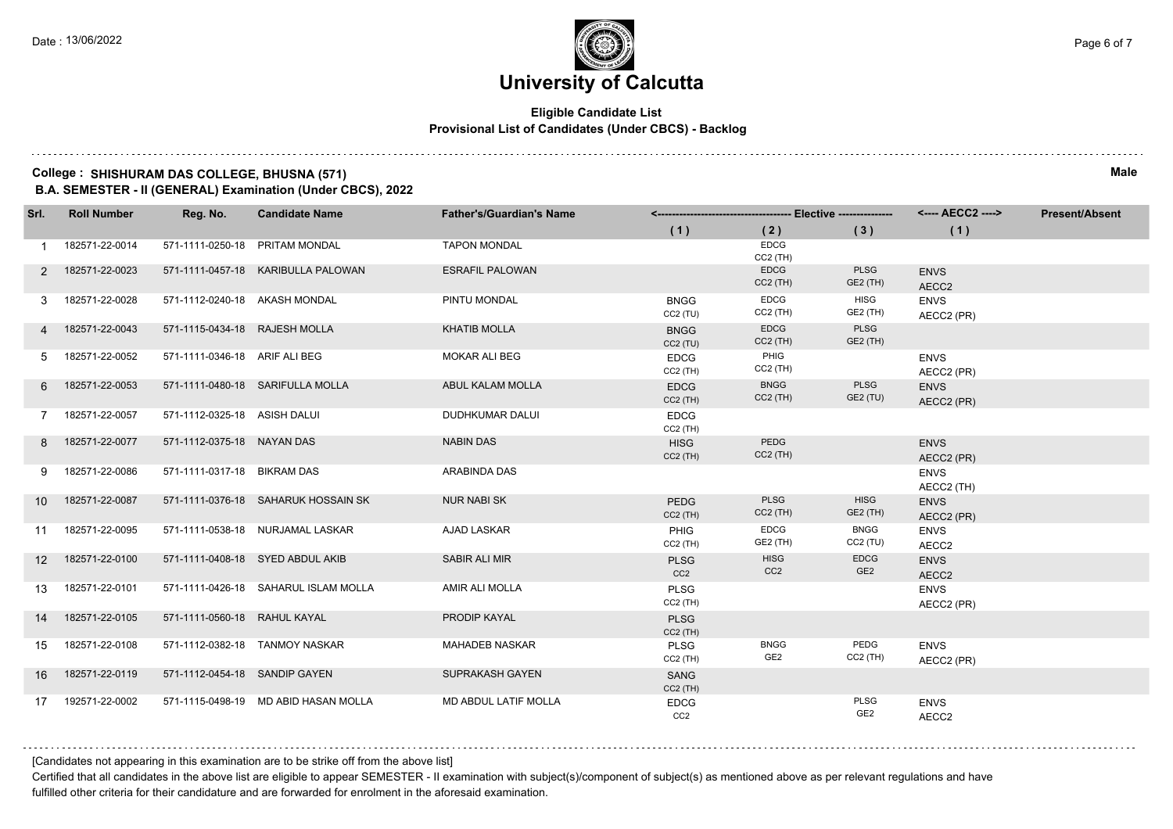## **Eligible Candidate List Provisional List of Candidates (Under CBCS) - Backlog**

## **College : SHISHURAM DAS COLLEGE, BHUSNA (571) Male**

**B.A. SEMESTER - II (GENERAL) Examination (Under CBCS), 2022**

| Srl.            | <b>Roll Number</b> | Reg. No.                      | <b>Candidate Name</b>                | <b>Father's/Guardian's Name</b> |                                |                                | <---- AECC2 ---->              | <b>Present/Absent</b>     |  |
|-----------------|--------------------|-------------------------------|--------------------------------------|---------------------------------|--------------------------------|--------------------------------|--------------------------------|---------------------------|--|
|                 |                    |                               |                                      |                                 | (1)                            | (2)                            | (3)                            | (1)                       |  |
| 1.              | 182571-22-0014     |                               | 571-1111-0250-18 PRITAM MONDAL       | <b>TAPON MONDAL</b>             |                                | <b>EDCG</b><br>CC2 (TH)        |                                |                           |  |
| 2               | 182571-22-0023     |                               | 571-1111-0457-18 KARIBULLA PALOWAN   | <b>ESRAFIL PALOWAN</b>          |                                | <b>EDCG</b><br>$CC2$ (TH)      | <b>PLSG</b><br>GE2 (TH)        | <b>ENVS</b><br>AECC2      |  |
| 3               | 182571-22-0028     | 571-1112-0240-18 AKASH MONDAL |                                      | PINTU MONDAL                    | <b>BNGG</b><br>CC2(TU)         | <b>EDCG</b><br>$CC2$ (TH)      | <b>HISG</b><br>GE2 (TH)        | <b>ENVS</b><br>AECC2 (PR) |  |
|                 | 182571-22-0043     | 571-1115-0434-18 RAJESH MOLLA |                                      | <b>KHATIB MOLLA</b>             | <b>BNGG</b><br>CC2(TU)         | <b>EDCG</b><br>$CC2$ (TH)      | <b>PLSG</b><br>GE2 (TH)        |                           |  |
| 5               | 182571-22-0052     | 571-1111-0346-18 ARIF ALI BEG |                                      | MOKAR ALI BEG                   | <b>EDCG</b><br>$CC2$ (TH)      | PHIG<br>$CC2$ (TH)             |                                | <b>ENVS</b><br>AECC2 (PR) |  |
| 6               | 182571-22-0053     |                               | 571-1111-0480-18 SARIFULLA MOLLA     | ABUL KALAM MOLLA                | <b>EDCG</b><br>$CC2$ (TH)      | <b>BNGG</b><br>$CC2$ (TH)      | <b>PLSG</b><br>GE2 (TU)        | <b>ENVS</b><br>AECC2 (PR) |  |
| 7               | 182571-22-0057     | 571-1112-0325-18 ASISH DALUI  |                                      | DUDHKUMAR DALUI                 | <b>EDCG</b><br>CC2 (TH)        |                                |                                |                           |  |
| 8               | 182571-22-0077     | 571-1112-0375-18 NAYAN DAS    |                                      | <b>NABIN DAS</b>                | <b>HISG</b><br>$CC2$ (TH)      | PEDG<br>$CC2$ (TH)             |                                | <b>ENVS</b><br>AECC2 (PR) |  |
| 9               | 182571-22-0086     | 571-1111-0317-18 BIKRAM DAS   |                                      | ARABINDA DAS                    |                                |                                |                                | <b>ENVS</b><br>AECC2 (TH) |  |
| 10 <sup>1</sup> | 182571-22-0087     |                               | 571-1111-0376-18 SAHARUK HOSSAIN SK  | <b>NUR NABI SK</b>              | <b>PEDG</b><br>$CC2$ (TH)      | <b>PLSG</b><br>$CC2$ (TH)      | <b>HISG</b><br>GE2 (TH)        | <b>ENVS</b><br>AECC2 (PR) |  |
| 11              | 182571-22-0095     |                               | 571-1111-0538-18 NURJAMAL LASKAR     | <b>AJAD LASKAR</b>              | PHIG<br>$CC2$ (TH)             | <b>EDCG</b><br>GE2 (TH)        | <b>BNGG</b><br>CC2(TU)         | <b>ENVS</b><br>AECC2      |  |
| 12 <sup>2</sup> | 182571-22-0100     |                               | 571-1111-0408-18 SYED ABDUL AKIB     | <b>SABIR ALI MIR</b>            | <b>PLSG</b><br>CC <sub>2</sub> | <b>HISG</b><br>CC <sub>2</sub> | <b>EDCG</b><br>GE <sub>2</sub> | <b>ENVS</b><br>AECC2      |  |
| 13              | 182571-22-0101     |                               | 571-1111-0426-18 SAHARUL ISLAM MOLLA | AMIR ALI MOLLA                  | PLSG<br>CC2 (TH)               |                                |                                | <b>ENVS</b><br>AECC2 (PR) |  |
| 14              | 182571-22-0105     | 571-1111-0560-18 RAHUL KAYAL  |                                      | PRODIP KAYAL                    | <b>PLSG</b><br>$CC2$ (TH)      |                                |                                |                           |  |
| 15              | 182571-22-0108     |                               | 571-1112-0382-18 TANMOY NASKAR       | <b>MAHADEB NASKAR</b>           | <b>PLSG</b><br>$CC2$ (TH)      | <b>BNGG</b><br>GE2             | PEDG<br>$CC2$ (TH)             | <b>ENVS</b><br>AECC2 (PR) |  |
| 16              | 182571-22-0119     | 571-1112-0454-18 SANDIP GAYEN |                                      | <b>SUPRAKASH GAYEN</b>          | SANG<br>$CC2$ (TH)             |                                |                                |                           |  |
| 17              | 192571-22-0002     |                               | 571-1115-0498-19 MD ABID HASAN MOLLA | <b>MD ABDUL LATIF MOLLA</b>     | <b>EDCG</b><br>CC <sub>2</sub> |                                | <b>PLSG</b><br>GE2             | <b>ENVS</b><br>AECC2      |  |

[Candidates not appearing in this examination are to be strike off from the above list]